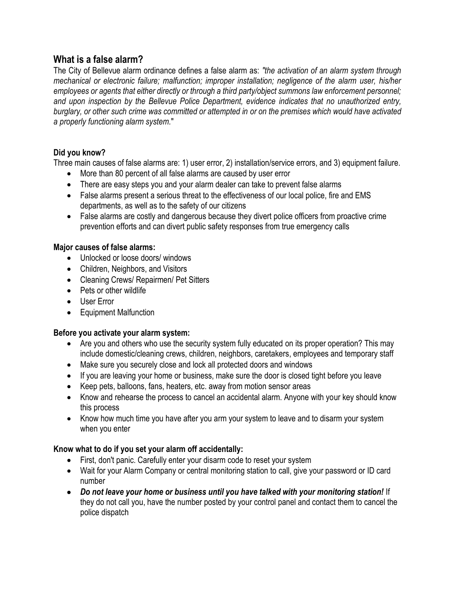# **What is a false alarm?**

The City of Bellevue alarm ordinance defines a false alarm as: *"the activation of an alarm system through mechanical or electronic failure; malfunction; improper installation; negligence of the alarm user, his/her employees or agents that either directly or through a third party/object summons law enforcement personnel; and upon inspection by the Bellevue Police Department, evidence indicates that no unauthorized entry, burglary, or other such crime was committed or attempted in or on the premises which would have activated a properly functioning alarm system.*"

## **Did you know?**

Three main causes of false alarms are: 1) user error, 2) installation/service errors, and 3) equipment failure.

- More than 80 percent of all false alarms are caused by user error
- There are easy steps you and your alarm dealer can take to prevent false alarms
- False alarms present a serious threat to the effectiveness of our local police, fire and EMS departments, as well as to the safety of our citizens
- False alarms are costly and dangerous because they divert police officers from proactive crime prevention efforts and can divert public safety responses from true emergency calls

## **Major causes of false alarms:**

- Unlocked or loose doors/ windows
- Children, Neighbors, and Visitors
- Cleaning Crews/ Repairmen/ Pet Sitters
- Pets or other wildlife
- User Error
- Equipment Malfunction

## **Before you activate your alarm system:**

- Are you and others who use the security system fully educated on its proper operation? This may include domestic/cleaning crews, children, neighbors, caretakers, employees and temporary staff
- Make sure you securely close and lock all protected doors and windows
- If you are leaving your home or business, make sure the door is closed tight before you leave
- Keep pets, balloons, fans, heaters, etc. away from motion sensor areas
- Know and rehearse the process to cancel an accidental alarm. Anyone with your key should know this process
- Know how much time you have after you arm your system to leave and to disarm your system when you enter

## **Know what to do if you set your alarm off accidentally:**

- First, don't panic. Carefully enter your disarm code to reset your system
- Wait for your Alarm Company or central monitoring station to call, give your password or ID card number
- *Do not leave your home or business until you have talked with your monitoring station!* If they do not call you, have the number posted by your control panel and contact them to cancel the police dispatch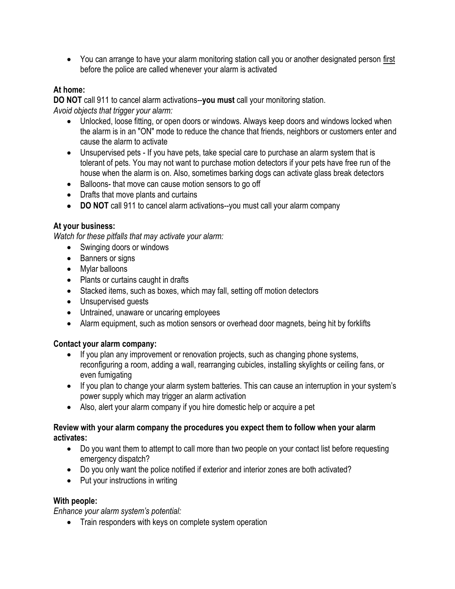You can arrange to have your alarm monitoring station call you or another designated person first before the police are called whenever your alarm is activated

## **At home:**

**DO NOT** call 911 to cancel alarm activations--**you must** call your monitoring station. *Avoid objects that trigger your alarm:*

- Unlocked, loose fitting, or open doors or windows. Always keep doors and windows locked when the alarm is in an "ON" mode to reduce the chance that friends, neighbors or customers enter and cause the alarm to activate
- Unsupervised pets If you have pets, take special care to purchase an alarm system that is tolerant of pets. You may not want to purchase motion detectors if your pets have free run of the house when the alarm is on. Also, sometimes barking dogs can activate glass break detectors
- Balloons- that move can cause motion sensors to go off
- Drafts that move plants and curtains
- **DO NOT** call 911 to cancel alarm activations--you must call your alarm company

## **At your business:**

*Watch for these pitfalls that may activate your alarm:*

- Swinging doors or windows
- Banners or signs
- Mylar balloons
- Plants or curtains caught in drafts
- Stacked items, such as boxes, which may fall, setting off motion detectors
- Unsupervised guests
- Untrained, unaware or uncaring employees
- Alarm equipment, such as motion sensors or overhead door magnets, being hit by forklifts

## **Contact your alarm company:**

- If you plan any improvement or renovation projects, such as changing phone systems, reconfiguring a room, adding a wall, rearranging cubicles, installing skylights or ceiling fans, or even fumigating
- If you plan to change your alarm system batteries. This can cause an interruption in your system's power supply which may trigger an alarm activation
- Also, alert your alarm company if you hire domestic help or acquire a pet

#### **Review with your alarm company the procedures you expect them to follow when your alarm activates:**

- Do you want them to attempt to call more than two people on your contact list before requesting emergency dispatch?
- Do you only want the police notified if exterior and interior zones are both activated?
- Put your instructions in writing

## **With people:**

*Enhance your alarm system's potential:*

• Train responders with keys on complete system operation